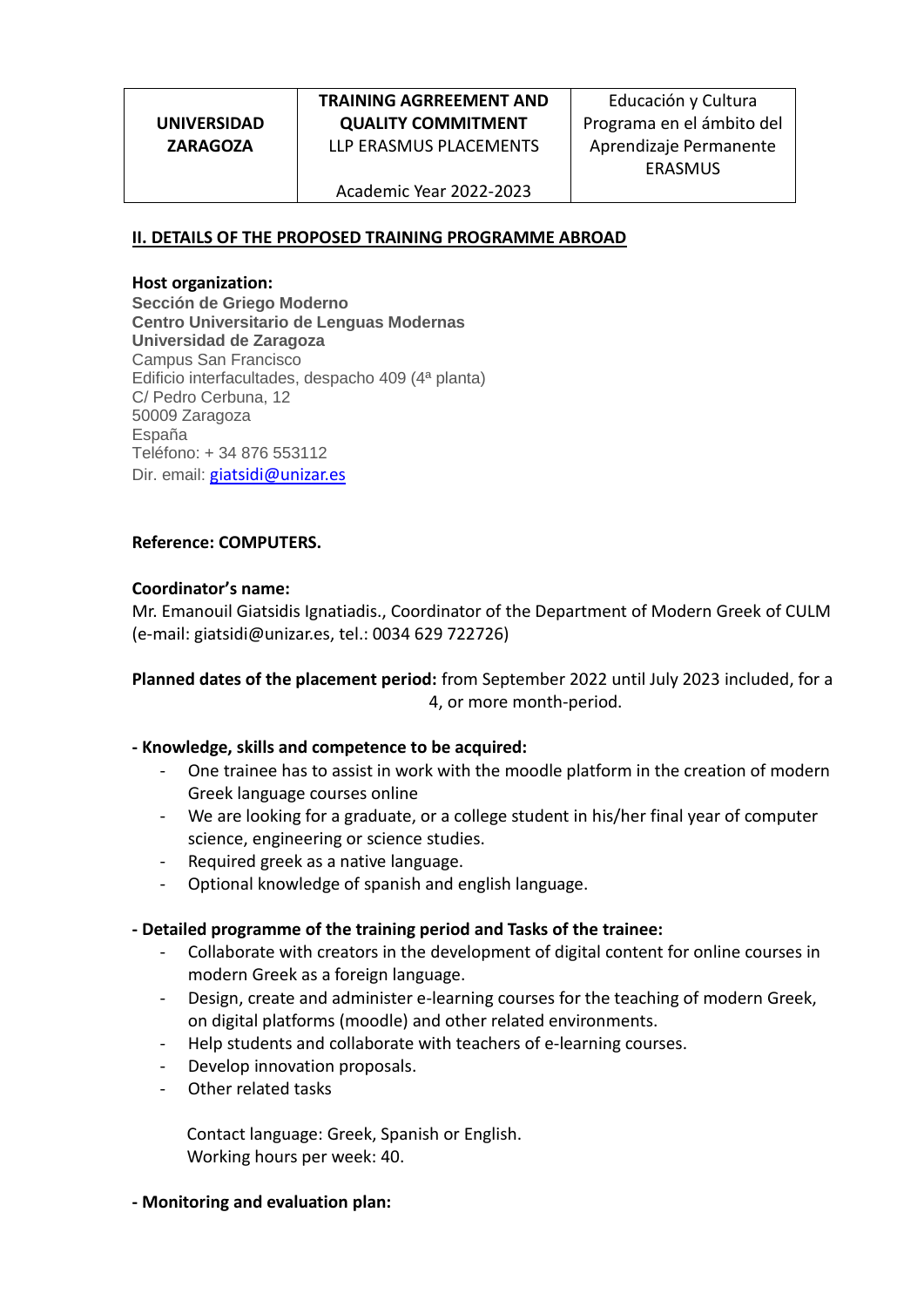**UNIVERSIDAD ZARAGOZA**

# **TRAINING AGRREEMENT AND QUALITY COMMITMENT** LLP ERASMUS PLACEMENTS

Educación y Cultura Programa en el ámbito del Aprendizaje Permanente ERASMUS

Academic Year 2022-2023

## **II. DETAILS OF THE PROPOSED TRAINING PROGRAMME ABROAD**

#### **Host organization:**

**Sección de Griego Moderno Centro Universitario de Lenguas Modernas Universidad de Zaragoza** Campus San Francisco Edificio interfacultades, despacho 409 (4ª planta) C/ Pedro Cerbuna, 12 50009 Zaragoza España Teléfono: + 34 876 553112 Dir. email: [giatsidi@unizar.es](mailto:bvargas@unizar.es)

### **Reference: COMPUTERS.**

### **Coordinator's name:**

Mr. Emanouil Giatsidis Ignatiadis., Coordinator of the Department of Modern Greek of CULM (e-mail: [giatsidi@unizar.es,](mailto:bvargas@unizar.es) tel.: 0034 629 722726)

## **Planned dates of the placement period:** from September 2022 until July 2023 included, for a 4, or more month-period.

### **- Knowledge, skills and competence to be acquired:**

- One trainee has to assist in work with the moodle platform in the creation of modern Greek language courses online
- We are looking for a graduate, or a college student in his/her final year of computer science, engineering or science studies.
- Required greek as a native language.
- Optional knowledge of spanish and english language.

### **- Detailed programme of the training period and Tasks of the trainee:**

- Collaborate with creators in the development of digital content for online courses in modern Greek as a foreign language.
- Design, create and administer e-learning courses for the teaching of modern Greek, on digital platforms (moodle) and other related environments.
- Help students and collaborate with teachers of e-learning courses.
- Develop innovation proposals.
- Other related tasks

Contact language: Greek, Spanish or English. Working hours per week: 40.

**- Monitoring and evaluation plan:**